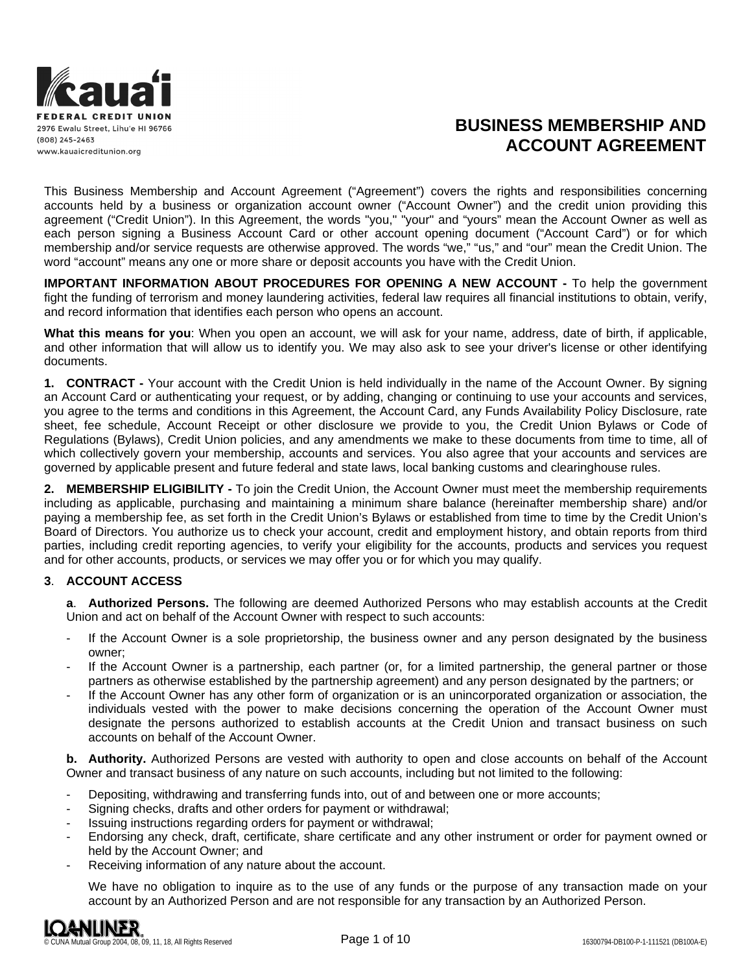

# **BUSINESS MEMBERSHIP AND ACCOUNT AGREEMENT**

This Business Membership and Account Agreement ("Agreement") covers the rights and responsibilities concerning accounts held by a business or organization account owner ("Account Owner") and the credit union providing this agreement ("Credit Union"). In this Agreement, the words "you," "your" and "yours" mean the Account Owner as well as each person signing a Business Account Card or other account opening document ("Account Card") or for which membership and/or service requests are otherwise approved. The words "we," "us," and "our" mean the Credit Union. The word "account" means any one or more share or deposit accounts you have with the Credit Union.

**IMPORTANT INFORMATION ABOUT PROCEDURES FOR OPENING A NEW ACCOUNT -** To help the government fight the funding of terrorism and money laundering activities, federal law requires all financial institutions to obtain, verify, and record information that identifies each person who opens an account.

**What this means for you**: When you open an account, we will ask for your name, address, date of birth, if applicable, and other information that will allow us to identify you. We may also ask to see your driver's license or other identifying documents.

**1. CONTRACT -** Your account with the Credit Union is held individually in the name of the Account Owner. By signing an Account Card or authenticating your request, or by adding, changing or continuing to use your accounts and services, you agree to the terms and conditions in this Agreement, the Account Card, any Funds Availability Policy Disclosure, rate sheet, fee schedule, Account Receipt or other disclosure we provide to you, the Credit Union Bylaws or Code of Regulations (Bylaws), Credit Union policies, and any amendments we make to these documents from time to time, all of which collectively govern your membership, accounts and services. You also agree that your accounts and services are governed by applicable present and future federal and state laws, local banking customs and clearinghouse rules.

**2. MEMBERSHIP ELIGIBILITY -** To join the Credit Union, the Account Owner must meet the membership requirements including as applicable, purchasing and maintaining a minimum share balance (hereinafter membership share) and/or paying a membership fee, as set forth in the Credit Union's Bylaws or established from time to time by the Credit Union's Board of Directors. You authorize us to check your account, credit and employment history, and obtain reports from third parties, including credit reporting agencies, to verify your eligibility for the accounts, products and services you request and for other accounts, products, or services we may offer you or for which you may qualify.

## **3**. **ACCOUNT ACCESS**

**a**. **Authorized Persons.** The following are deemed Authorized Persons who may establish accounts at the Credit Union and act on behalf of the Account Owner with respect to such accounts:

- If the Account Owner is a sole proprietorship, the business owner and any person designated by the business owner;
- If the Account Owner is a partnership, each partner (or, for a limited partnership, the general partner or those partners as otherwise established by the partnership agreement) and any person designated by the partners; or
- If the Account Owner has any other form of organization or is an unincorporated organization or association, the individuals vested with the power to make decisions concerning the operation of the Account Owner must designate the persons authorized to establish accounts at the Credit Union and transact business on such accounts on behalf of the Account Owner.

**b. Authority.** Authorized Persons are vested with authority to open and close accounts on behalf of the Account Owner and transact business of any nature on such accounts, including but not limited to the following:

- Depositing, withdrawing and transferring funds into, out of and between one or more accounts;
- Signing checks, drafts and other orders for payment or withdrawal;
- Issuing instructions regarding orders for payment or withdrawal;
- Endorsing any check, draft, certificate, share certificate and any other instrument or order for payment owned or held by the Account Owner; and
- Receiving information of any nature about the account.

We have no obligation to inquire as to the use of any funds or the purpose of any transaction made on your account by an Authorized Person and are not responsible for any transaction by an Authorized Person.

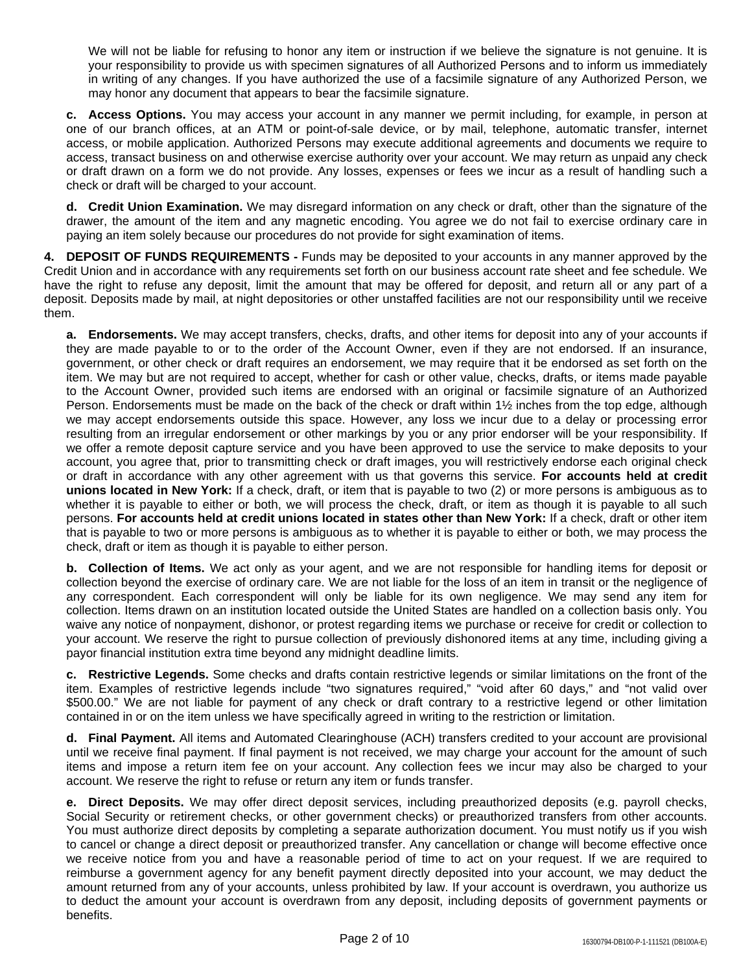We will not be liable for refusing to honor any item or instruction if we believe the signature is not genuine. It is your responsibility to provide us with specimen signatures of all Authorized Persons and to inform us immediately in writing of any changes. If you have authorized the use of a facsimile signature of any Authorized Person, we may honor any document that appears to bear the facsimile signature.

**c. Access Options.** You may access your account in any manner we permit including, for example, in person at one of our branch offices, at an ATM or point-of-sale device, or by mail, telephone, automatic transfer, internet access, or mobile application. Authorized Persons may execute additional agreements and documents we require to access, transact business on and otherwise exercise authority over your account. We may return as unpaid any check or draft drawn on a form we do not provide. Any losses, expenses or fees we incur as a result of handling such a check or draft will be charged to your account.

**d. Credit Union Examination.** We may disregard information on any check or draft, other than the signature of the drawer, the amount of the item and any magnetic encoding. You agree we do not fail to exercise ordinary care in paying an item solely because our procedures do not provide for sight examination of items.

**4. DEPOSIT OF FUNDS REQUIREMENTS -** Funds may be deposited to your accounts in any manner approved by the Credit Union and in accordance with any requirements set forth on our business account rate sheet and fee schedule. We have the right to refuse any deposit, limit the amount that may be offered for deposit, and return all or any part of a deposit. Deposits made by mail, at night depositories or other unstaffed facilities are not our responsibility until we receive them.

**a. Endorsements.** We may accept transfers, checks, drafts, and other items for deposit into any of your accounts if they are made payable to or to the order of the Account Owner, even if they are not endorsed. If an insurance, government, or other check or draft requires an endorsement, we may require that it be endorsed as set forth on the item. We may but are not required to accept, whether for cash or other value, checks, drafts, or items made payable to the Account Owner, provided such items are endorsed with an original or facsimile signature of an Authorized Person. Endorsements must be made on the back of the check or draft within 1½ inches from the top edge, although we may accept endorsements outside this space. However, any loss we incur due to a delay or processing error resulting from an irregular endorsement or other markings by you or any prior endorser will be your responsibility. If we offer a remote deposit capture service and you have been approved to use the service to make deposits to your account, you agree that, prior to transmitting check or draft images, you will restrictively endorse each original check or draft in accordance with any other agreement with us that governs this service. **For accounts held at credit unions located in New York:** If a check, draft, or item that is payable to two (2) or more persons is ambiguous as to whether it is payable to either or both, we will process the check, draft, or item as though it is payable to all such persons. **For accounts held at credit unions located in states other than New York:** If a check, draft or other item that is payable to two or more persons is ambiguous as to whether it is payable to either or both, we may process the check, draft or item as though it is payable to either person.

**b. Collection of Items.** We act only as your agent, and we are not responsible for handling items for deposit or collection beyond the exercise of ordinary care. We are not liable for the loss of an item in transit or the negligence of any correspondent. Each correspondent will only be liable for its own negligence. We may send any item for collection. Items drawn on an institution located outside the United States are handled on a collection basis only. You waive any notice of nonpayment, dishonor, or protest regarding items we purchase or receive for credit or collection to your account. We reserve the right to pursue collection of previously dishonored items at any time, including giving a payor financial institution extra time beyond any midnight deadline limits.

**c. Restrictive Legends.** Some checks and drafts contain restrictive legends or similar limitations on the front of the item. Examples of restrictive legends include "two signatures required," "void after 60 days," and "not valid over \$500.00." We are not liable for payment of any check or draft contrary to a restrictive legend or other limitation contained in or on the item unless we have specifically agreed in writing to the restriction or limitation.

**d. Final Payment.** All items and Automated Clearinghouse (ACH) transfers credited to your account are provisional until we receive final payment. If final payment is not received, we may charge your account for the amount of such items and impose a return item fee on your account. Any collection fees we incur may also be charged to your account. We reserve the right to refuse or return any item or funds transfer.

**e. Direct Deposits.** We may offer direct deposit services, including preauthorized deposits (e.g. payroll checks, Social Security or retirement checks, or other government checks) or preauthorized transfers from other accounts. You must authorize direct deposits by completing a separate authorization document. You must notify us if you wish to cancel or change a direct deposit or preauthorized transfer. Any cancellation or change will become effective once we receive notice from you and have a reasonable period of time to act on your request. If we are required to reimburse a government agency for any benefit payment directly deposited into your account, we may deduct the amount returned from any of your accounts, unless prohibited by law. If your account is overdrawn, you authorize us to deduct the amount your account is overdrawn from any deposit, including deposits of government payments or benefits.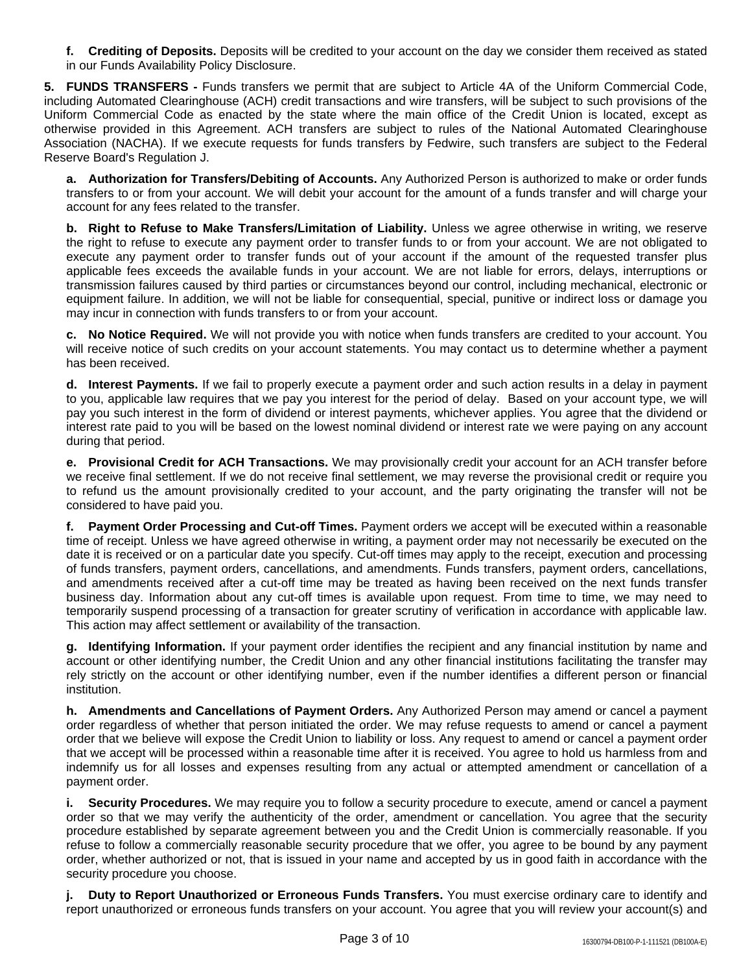**f. Crediting of Deposits.** Deposits will be credited to your account on the day we consider them received as stated in our Funds Availability Policy Disclosure.

**5. FUNDS TRANSFERS -** Funds transfers we permit that are subject to Article 4A of the Uniform Commercial Code, including Automated Clearinghouse (ACH) credit transactions and wire transfers, will be subject to such provisions of the Uniform Commercial Code as enacted by the state where the main office of the Credit Union is located, except as otherwise provided in this Agreement. ACH transfers are subject to rules of the National Automated Clearinghouse Association (NACHA). If we execute requests for funds transfers by Fedwire, such transfers are subject to the Federal Reserve Board's Regulation J.

**a. Authorization for Transfers/Debiting of Accounts.** Any Authorized Person is authorized to make or order funds transfers to or from your account. We will debit your account for the amount of a funds transfer and will charge your account for any fees related to the transfer.

**b. Right to Refuse to Make Transfers/Limitation of Liability.** Unless we agree otherwise in writing, we reserve the right to refuse to execute any payment order to transfer funds to or from your account. We are not obligated to execute any payment order to transfer funds out of your account if the amount of the requested transfer plus applicable fees exceeds the available funds in your account. We are not liable for errors, delays, interruptions or transmission failures caused by third parties or circumstances beyond our control, including mechanical, electronic or equipment failure. In addition, we will not be liable for consequential, special, punitive or indirect loss or damage you may incur in connection with funds transfers to or from your account.

**c. No Notice Required.** We will not provide you with notice when funds transfers are credited to your account. You will receive notice of such credits on your account statements. You may contact us to determine whether a payment has been received.

**d. Interest Payments.** If we fail to properly execute a payment order and such action results in a delay in payment to you, applicable law requires that we pay you interest for the period of delay. Based on your account type, we will pay you such interest in the form of dividend or interest payments, whichever applies. You agree that the dividend or interest rate paid to you will be based on the lowest nominal dividend or interest rate we were paying on any account during that period.

**e. Provisional Credit for ACH Transactions.** We may provisionally credit your account for an ACH transfer before we receive final settlement. If we do not receive final settlement, we may reverse the provisional credit or require you to refund us the amount provisionally credited to your account, and the party originating the transfer will not be considered to have paid you.

**f. Payment Order Processing and Cut-off Times.** Payment orders we accept will be executed within a reasonable time of receipt. Unless we have agreed otherwise in writing, a payment order may not necessarily be executed on the date it is received or on a particular date you specify. Cut-off times may apply to the receipt, execution and processing of funds transfers, payment orders, cancellations, and amendments. Funds transfers, payment orders, cancellations, and amendments received after a cut-off time may be treated as having been received on the next funds transfer business day. Information about any cut-off times is available upon request. From time to time, we may need to temporarily suspend processing of a transaction for greater scrutiny of verification in accordance with applicable law. This action may affect settlement or availability of the transaction.

**g. Identifying Information.** If your payment order identifies the recipient and any financial institution by name and account or other identifying number, the Credit Union and any other financial institutions facilitating the transfer may rely strictly on the account or other identifying number, even if the number identifies a different person or financial institution.

**h. Amendments and Cancellations of Payment Orders.** Any Authorized Person may amend or cancel a payment order regardless of whether that person initiated the order. We may refuse requests to amend or cancel a payment order that we believe will expose the Credit Union to liability or loss. Any request to amend or cancel a payment order that we accept will be processed within a reasonable time after it is received. You agree to hold us harmless from and indemnify us for all losses and expenses resulting from any actual or attempted amendment or cancellation of a payment order.

**i. Security Procedures.** We may require you to follow a security procedure to execute, amend or cancel a payment order so that we may verify the authenticity of the order, amendment or cancellation. You agree that the security procedure established by separate agreement between you and the Credit Union is commercially reasonable. If you refuse to follow a commercially reasonable security procedure that we offer, you agree to be bound by any payment order, whether authorized or not, that is issued in your name and accepted by us in good faith in accordance with the security procedure you choose.

**j. Duty to Report Unauthorized or Erroneous Funds Transfers.** You must exercise ordinary care to identify and report unauthorized or erroneous funds transfers on your account. You agree that you will review your account(s) and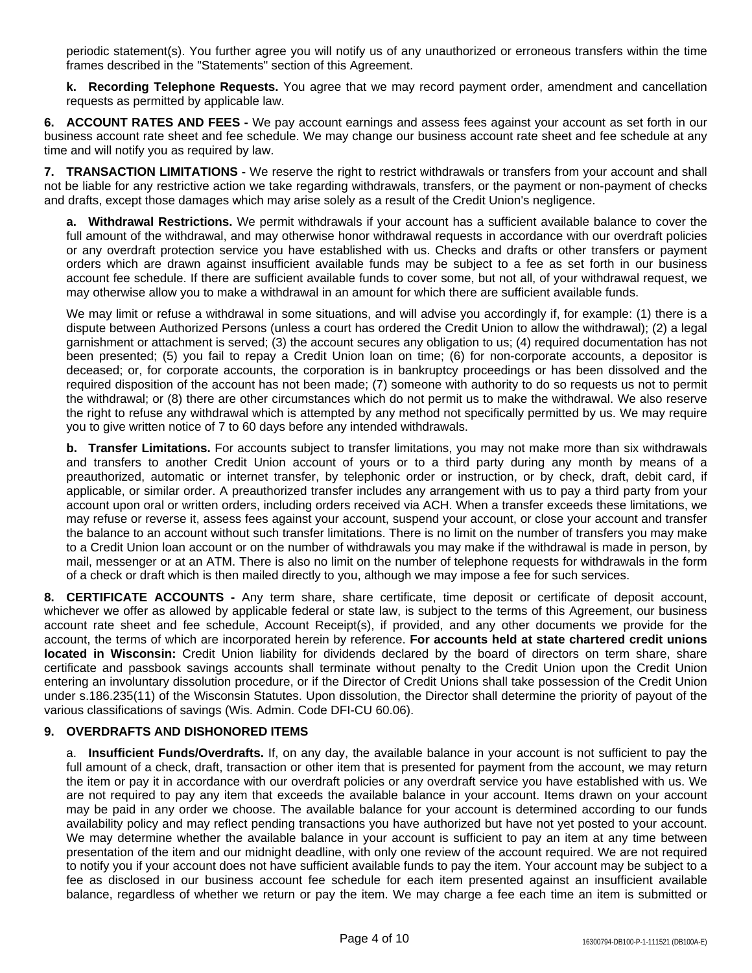periodic statement(s). You further agree you will notify us of any unauthorized or erroneous transfers within the time frames described in the "Statements" section of this Agreement.

**k. Recording Telephone Requests.** You agree that we may record payment order, amendment and cancellation requests as permitted by applicable law.

**6. ACCOUNT RATES AND FEES -** We pay account earnings and assess fees against your account as set forth in our business account rate sheet and fee schedule. We may change our business account rate sheet and fee schedule at any time and will notify you as required by law.

**7. TRANSACTION LIMITATIONS -** We reserve the right to restrict withdrawals or transfers from your account and shall not be liable for any restrictive action we take regarding withdrawals, transfers, or the payment or non-payment of checks and drafts, except those damages which may arise solely as a result of the Credit Union's negligence.

**a. Withdrawal Restrictions.** We permit withdrawals if your account has a sufficient available balance to cover the full amount of the withdrawal, and may otherwise honor withdrawal requests in accordance with our overdraft policies or any overdraft protection service you have established with us. Checks and drafts or other transfers or payment orders which are drawn against insufficient available funds may be subject to a fee as set forth in our business account fee schedule. If there are sufficient available funds to cover some, but not all, of your withdrawal request, we may otherwise allow you to make a withdrawal in an amount for which there are sufficient available funds.

We may limit or refuse a withdrawal in some situations, and will advise you accordingly if, for example: (1) there is a dispute between Authorized Persons (unless a court has ordered the Credit Union to allow the withdrawal); (2) a legal garnishment or attachment is served; (3) the account secures any obligation to us; (4) required documentation has not been presented; (5) you fail to repay a Credit Union loan on time; (6) for non-corporate accounts, a depositor is deceased; or, for corporate accounts, the corporation is in bankruptcy proceedings or has been dissolved and the required disposition of the account has not been made; (7) someone with authority to do so requests us not to permit the withdrawal; or (8) there are other circumstances which do not permit us to make the withdrawal. We also reserve the right to refuse any withdrawal which is attempted by any method not specifically permitted by us. We may require you to give written notice of 7 to 60 days before any intended withdrawals.

**b. Transfer Limitations.** For accounts subject to transfer limitations, you may not make more than six withdrawals and transfers to another Credit Union account of yours or to a third party during any month by means of a preauthorized, automatic or internet transfer, by telephonic order or instruction, or by check, draft, debit card, if applicable, or similar order. A preauthorized transfer includes any arrangement with us to pay a third party from your account upon oral or written orders, including orders received via ACH. When a transfer exceeds these limitations, we may refuse or reverse it, assess fees against your account, suspend your account, or close your account and transfer the balance to an account without such transfer limitations. There is no limit on the number of transfers you may make to a Credit Union loan account or on the number of withdrawals you may make if the withdrawal is made in person, by mail, messenger or at an ATM. There is also no limit on the number of telephone requests for withdrawals in the form of a check or draft which is then mailed directly to you, although we may impose a fee for such services.

**8. CERTIFICATE ACCOUNTS -** Any term share, share certificate, time deposit or certificate of deposit account, whichever we offer as allowed by applicable federal or state law, is subject to the terms of this Agreement, our business account rate sheet and fee schedule, Account Receipt(s), if provided, and any other documents we provide for the account, the terms of which are incorporated herein by reference. **For accounts held at state chartered credit unions located in Wisconsin:** Credit Union liability for dividends declared by the board of directors on term share, share certificate and passbook savings accounts shall terminate without penalty to the Credit Union upon the Credit Union entering an involuntary dissolution procedure, or if the Director of Credit Unions shall take possession of the Credit Union under s.186.235(11) of the Wisconsin Statutes. Upon dissolution, the Director shall determine the priority of payout of the various classifications of savings (Wis. Admin. Code DFI-CU 60.06).

## **9. OVERDRAFTS AND DISHONORED ITEMS**

a. **Insufficient Funds/Overdrafts.** If, on any day, the available balance in your account is not sufficient to pay the full amount of a check, draft, transaction or other item that is presented for payment from the account, we may return the item or pay it in accordance with our overdraft policies or any overdraft service you have established with us. We are not required to pay any item that exceeds the available balance in your account. Items drawn on your account may be paid in any order we choose. The available balance for your account is determined according to our funds availability policy and may reflect pending transactions you have authorized but have not yet posted to your account. We may determine whether the available balance in your account is sufficient to pay an item at any time between presentation of the item and our midnight deadline, with only one review of the account required. We are not required to notify you if your account does not have sufficient available funds to pay the item. Your account may be subject to a fee as disclosed in our business account fee schedule for each item presented against an insufficient available balance, regardless of whether we return or pay the item. We may charge a fee each time an item is submitted or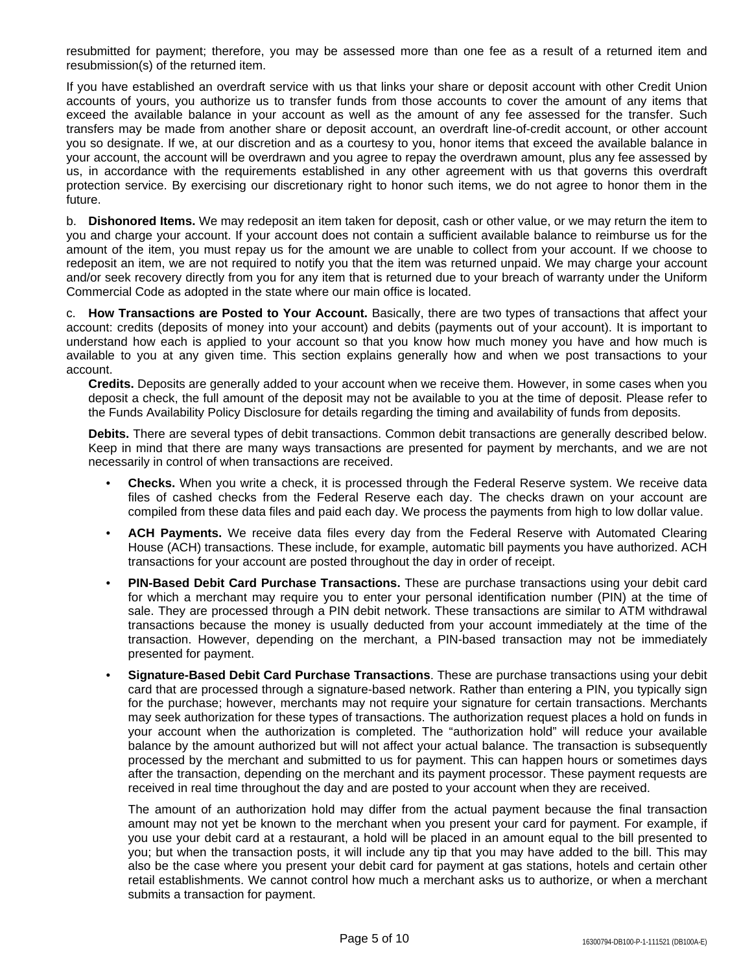resubmitted for payment; therefore, you may be assessed more than one fee as a result of a returned item and resubmission(s) of the returned item.

If you have established an overdraft service with us that links your share or deposit account with other Credit Union accounts of yours, you authorize us to transfer funds from those accounts to cover the amount of any items that exceed the available balance in your account as well as the amount of any fee assessed for the transfer. Such transfers may be made from another share or deposit account, an overdraft line-of-credit account, or other account you so designate. If we, at our discretion and as a courtesy to you, honor items that exceed the available balance in your account, the account will be overdrawn and you agree to repay the overdrawn amount, plus any fee assessed by us, in accordance with the requirements established in any other agreement with us that governs this overdraft protection service. By exercising our discretionary right to honor such items, we do not agree to honor them in the future.

b. **Dishonored Items.** We may redeposit an item taken for deposit, cash or other value, or we may return the item to you and charge your account. If your account does not contain a sufficient available balance to reimburse us for the amount of the item, you must repay us for the amount we are unable to collect from your account. If we choose to redeposit an item, we are not required to notify you that the item was returned unpaid. We may charge your account and/or seek recovery directly from you for any item that is returned due to your breach of warranty under the Uniform Commercial Code as adopted in the state where our main office is located.

c. **How Transactions are Posted to Your Account.** Basically, there are two types of transactions that affect your account: credits (deposits of money into your account) and debits (payments out of your account). It is important to understand how each is applied to your account so that you know how much money you have and how much is available to you at any given time. This section explains generally how and when we post transactions to your account.

**Credits.** Deposits are generally added to your account when we receive them. However, in some cases when you deposit a check, the full amount of the deposit may not be available to you at the time of deposit. Please refer to the Funds Availability Policy Disclosure for details regarding the timing and availability of funds from deposits.

**Debits.** There are several types of debit transactions. Common debit transactions are generally described below. Keep in mind that there are many ways transactions are presented for payment by merchants, and we are not necessarily in control of when transactions are received.

- **Checks.** When you write a check, it is processed through the Federal Reserve system. We receive data files of cashed checks from the Federal Reserve each day. The checks drawn on your account are compiled from these data files and paid each day. We process the payments from high to low dollar value.
- **ACH Payments.** We receive data files every day from the Federal Reserve with Automated Clearing House (ACH) transactions. These include, for example, automatic bill payments you have authorized. ACH transactions for your account are posted throughout the day in order of receipt.
- **PIN-Based Debit Card Purchase Transactions.** These are purchase transactions using your debit card for which a merchant may require you to enter your personal identification number (PIN) at the time of sale. They are processed through a PIN debit network. These transactions are similar to ATM withdrawal transactions because the money is usually deducted from your account immediately at the time of the transaction. However, depending on the merchant, a PIN-based transaction may not be immediately presented for payment.
- **Signature-Based Debit Card Purchase Transactions**. These are purchase transactions using your debit card that are processed through a signature-based network. Rather than entering a PIN, you typically sign for the purchase; however, merchants may not require your signature for certain transactions. Merchants may seek authorization for these types of transactions. The authorization request places a hold on funds in your account when the authorization is completed. The "authorization hold" will reduce your available balance by the amount authorized but will not affect your actual balance. The transaction is subsequently processed by the merchant and submitted to us for payment. This can happen hours or sometimes days after the transaction, depending on the merchant and its payment processor. These payment requests are received in real time throughout the day and are posted to your account when they are received.

The amount of an authorization hold may differ from the actual payment because the final transaction amount may not yet be known to the merchant when you present your card for payment. For example, if you use your debit card at a restaurant, a hold will be placed in an amount equal to the bill presented to you; but when the transaction posts, it will include any tip that you may have added to the bill. This may also be the case where you present your debit card for payment at gas stations, hotels and certain other retail establishments. We cannot control how much a merchant asks us to authorize, or when a merchant submits a transaction for payment.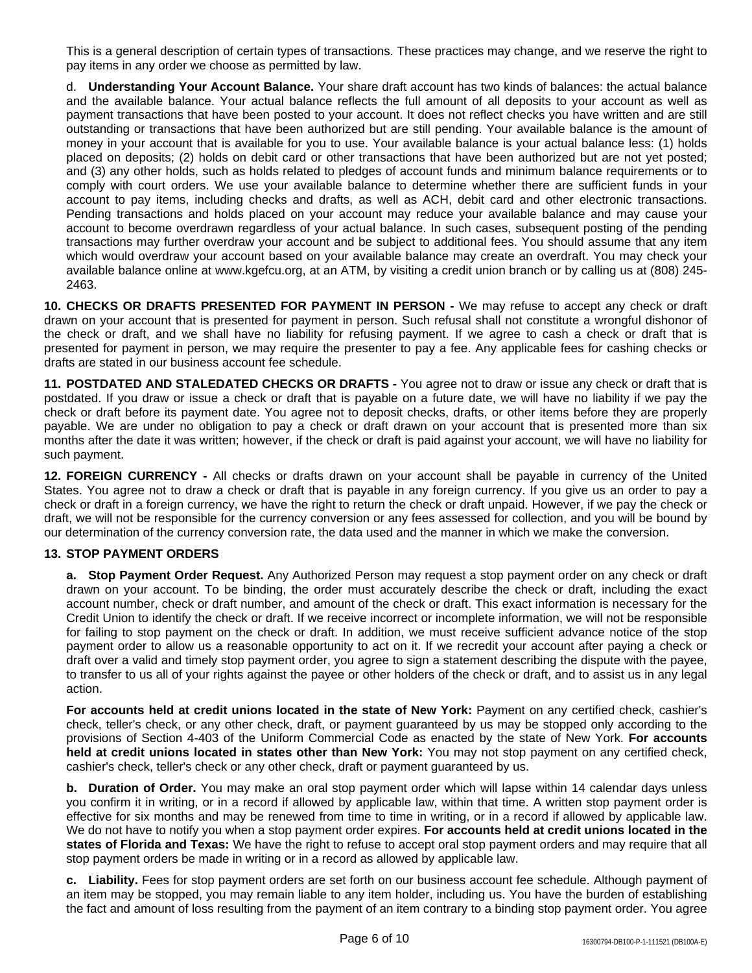This is a general description of certain types of transactions. These practices may change, and we reserve the right to pay items in any order we choose as permitted by law.

d. **Understanding Your Account Balance.** Your share draft account has two kinds of balances: the actual balance and the available balance. Your actual balance reflects the full amount of all deposits to your account as well as payment transactions that have been posted to your account. It does not reflect checks you have written and are still outstanding or transactions that have been authorized but are still pending. Your available balance is the amount of money in your account that is available for you to use. Your available balance is your actual balance less: (1) holds placed on deposits; (2) holds on debit card or other transactions that have been authorized but are not yet posted; and (3) any other holds, such as holds related to pledges of account funds and minimum balance requirements or to comply with court orders. We use your available balance to determine whether there are sufficient funds in your account to pay items, including checks and drafts, as well as ACH, debit card and other electronic transactions. Pending transactions and holds placed on your account may reduce your available balance and may cause your account to become overdrawn regardless of your actual balance. In such cases, subsequent posting of the pending transactions may further overdraw your account and be subject to additional fees. You should assume that any item which would overdraw your account based on your available balance may create an overdraft. You may check your available balance online at www.kgefcu.org, at an ATM, by visiting a credit union branch or by calling us at (808) 245- 2463.

**10. CHECKS OR DRAFTS PRESENTED FOR PAYMENT IN PERSON -** We may refuse to accept any check or draft drawn on your account that is presented for payment in person. Such refusal shall not constitute a wrongful dishonor of the check or draft, and we shall have no liability for refusing payment. If we agree to cash a check or draft that is presented for payment in person, we may require the presenter to pay a fee. Any applicable fees for cashing checks or drafts are stated in our business account fee schedule.

**11. POSTDATED AND STALEDATED CHECKS OR DRAFTS -** You agree not to draw or issue any check or draft that is postdated. If you draw or issue a check or draft that is payable on a future date, we will have no liability if we pay the check or draft before its payment date. You agree not to deposit checks, drafts, or other items before they are properly payable. We are under no obligation to pay a check or draft drawn on your account that is presented more than six months after the date it was written; however, if the check or draft is paid against your account, we will have no liability for such payment.

**12. FOREIGN CURRENCY -** All checks or drafts drawn on your account shall be payable in currency of the United States. You agree not to draw a check or draft that is payable in any foreign currency. If you give us an order to pay a check or draft in a foreign currency, we have the right to return the check or draft unpaid. However, if we pay the check or draft, we will not be responsible for the currency conversion or any fees assessed for collection, and you will be bound by our determination of the currency conversion rate, the data used and the manner in which we make the conversion.

## **13. STOP PAYMENT ORDERS**

**a. Stop Payment Order Request.** Any Authorized Person may request a stop payment order on any check or draft drawn on your account. To be binding, the order must accurately describe the check or draft, including the exact account number, check or draft number, and amount of the check or draft. This exact information is necessary for the Credit Union to identify the check or draft. If we receive incorrect or incomplete information, we will not be responsible for failing to stop payment on the check or draft. In addition, we must receive sufficient advance notice of the stop payment order to allow us a reasonable opportunity to act on it. If we recredit your account after paying a check or draft over a valid and timely stop payment order, you agree to sign a statement describing the dispute with the payee, to transfer to us all of your rights against the payee or other holders of the check or draft, and to assist us in any legal action.

**For accounts held at credit unions located in the state of New York:** Payment on any certified check, cashier's check, teller's check, or any other check, draft, or payment guaranteed by us may be stopped only according to the provisions of Section 4-403 of the Uniform Commercial Code as enacted by the state of New York. **For accounts held at credit unions located in states other than New York:** You may not stop payment on any certified check, cashier's check, teller's check or any other check, draft or payment guaranteed by us.

**b. Duration of Order.** You may make an oral stop payment order which will lapse within 14 calendar days unless you confirm it in writing, or in a record if allowed by applicable law, within that time. A written stop payment order is effective for six months and may be renewed from time to time in writing, or in a record if allowed by applicable law. We do not have to notify you when a stop payment order expires. **For accounts held at credit unions located in the states of Florida and Texas:** We have the right to refuse to accept oral stop payment orders and may require that all stop payment orders be made in writing or in a record as allowed by applicable law.

**c. Liability.** Fees for stop payment orders are set forth on our business account fee schedule. Although payment of an item may be stopped, you may remain liable to any item holder, including us. You have the burden of establishing the fact and amount of loss resulting from the payment of an item contrary to a binding stop payment order. You agree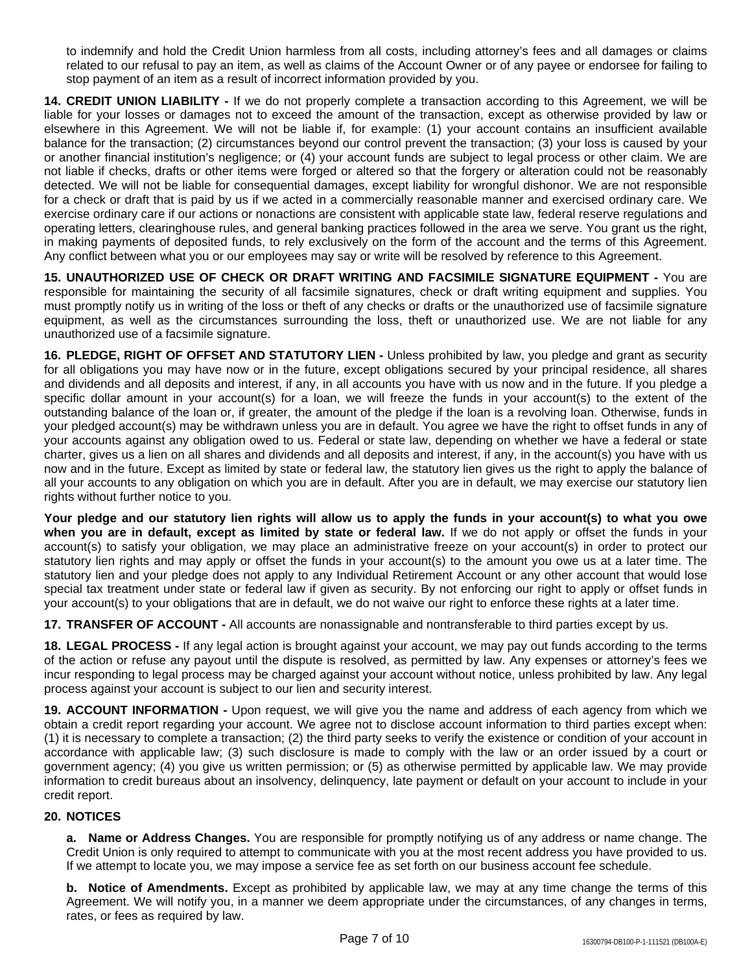to indemnify and hold the Credit Union harmless from all costs, including attorney's fees and all damages or claims related to our refusal to pay an item, as well as claims of the Account Owner or of any payee or endorsee for failing to stop payment of an item as a result of incorrect information provided by you.

**14. CREDIT UNION LIABILITY -** If we do not properly complete a transaction according to this Agreement, we will be liable for your losses or damages not to exceed the amount of the transaction, except as otherwise provided by law or elsewhere in this Agreement. We will not be liable if, for example: (1) your account contains an insufficient available balance for the transaction; (2) circumstances beyond our control prevent the transaction; (3) your loss is caused by your or another financial institution's negligence; or (4) your account funds are subject to legal process or other claim. We are not liable if checks, drafts or other items were forged or altered so that the forgery or alteration could not be reasonably detected. We will not be liable for consequential damages, except liability for wrongful dishonor. We are not responsible for a check or draft that is paid by us if we acted in a commercially reasonable manner and exercised ordinary care. We exercise ordinary care if our actions or nonactions are consistent with applicable state law, federal reserve regulations and operating letters, clearinghouse rules, and general banking practices followed in the area we serve. You grant us the right, in making payments of deposited funds, to rely exclusively on the form of the account and the terms of this Agreement. Any conflict between what you or our employees may say or write will be resolved by reference to this Agreement.

**15. UNAUTHORIZED USE OF CHECK OR DRAFT WRITING AND FACSIMILE SIGNATURE EQUIPMENT -** You are responsible for maintaining the security of all facsimile signatures, check or draft writing equipment and supplies. You must promptly notify us in writing of the loss or theft of any checks or drafts or the unauthorized use of facsimile signature equipment, as well as the circumstances surrounding the loss, theft or unauthorized use. We are not liable for any unauthorized use of a facsimile signature.

**16. PLEDGE, RIGHT OF OFFSET AND STATUTORY LIEN -** Unless prohibited by law, you pledge and grant as security for all obligations you may have now or in the future, except obligations secured by your principal residence, all shares and dividends and all deposits and interest, if any, in all accounts you have with us now and in the future. If you pledge a specific dollar amount in your account(s) for a loan, we will freeze the funds in your account(s) to the extent of the outstanding balance of the loan or, if greater, the amount of the pledge if the loan is a revolving loan. Otherwise, funds in your pledged account(s) may be withdrawn unless you are in default. You agree we have the right to offset funds in any of your accounts against any obligation owed to us. Federal or state law, depending on whether we have a federal or state charter, gives us a lien on all shares and dividends and all deposits and interest, if any, in the account(s) you have with us now and in the future. Except as limited by state or federal law, the statutory lien gives us the right to apply the balance of all your accounts to any obligation on which you are in default. After you are in default, we may exercise our statutory lien rights without further notice to you.

Your pledge and our statutory lien rights will allow us to apply the funds in your account(s) to what you owe **when you are in default, except as limited by state or federal law.** If we do not apply or offset the funds in your account(s) to satisfy your obligation, we may place an administrative freeze on your account(s) in order to protect our statutory lien rights and may apply or offset the funds in your account(s) to the amount you owe us at a later time. The statutory lien and your pledge does not apply to any Individual Retirement Account or any other account that would lose special tax treatment under state or federal law if given as security. By not enforcing our right to apply or offset funds in your account(s) to your obligations that are in default, we do not waive our right to enforce these rights at a later time.

**17. TRANSFER OF ACCOUNT -** All accounts are nonassignable and nontransferable to third parties except by us.

**18. LEGAL PROCESS -** If any legal action is brought against your account, we may pay out funds according to the terms of the action or refuse any payout until the dispute is resolved, as permitted by law. Any expenses or attorney's fees we incur responding to legal process may be charged against your account without notice, unless prohibited by law. Any legal process against your account is subject to our lien and security interest.

**19. ACCOUNT INFORMATION -** Upon request, we will give you the name and address of each agency from which we obtain a credit report regarding your account. We agree not to disclose account information to third parties except when: (1) it is necessary to complete a transaction; (2) the third party seeks to verify the existence or condition of your account in accordance with applicable law; (3) such disclosure is made to comply with the law or an order issued by a court or government agency; (4) you give us written permission; or (5) as otherwise permitted by applicable law. We may provide information to credit bureaus about an insolvency, delinquency, late payment or default on your account to include in your credit report.

## **20. NOTICES**

**a. Name or Address Changes.** You are responsible for promptly notifying us of any address or name change. The Credit Union is only required to attempt to communicate with you at the most recent address you have provided to us. If we attempt to locate you, we may impose a service fee as set forth on our business account fee schedule.

**b. Notice of Amendments.** Except as prohibited by applicable law, we may at any time change the terms of this Agreement. We will notify you, in a manner we deem appropriate under the circumstances, of any changes in terms, rates, or fees as required by law.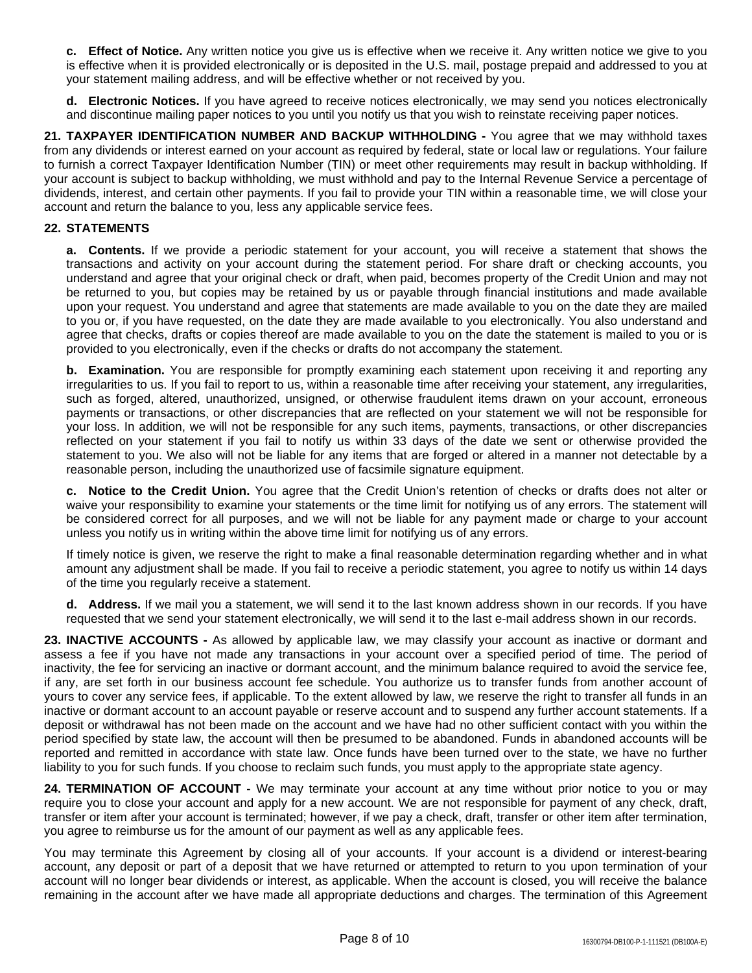**c. Effect of Notice.** Any written notice you give us is effective when we receive it. Any written notice we give to you is effective when it is provided electronically or is deposited in the U.S. mail, postage prepaid and addressed to you at your statement mailing address, and will be effective whether or not received by you.

**d. Electronic Notices.** If you have agreed to receive notices electronically, we may send you notices electronically and discontinue mailing paper notices to you until you notify us that you wish to reinstate receiving paper notices.

**21. TAXPAYER IDENTIFICATION NUMBER AND BACKUP WITHHOLDING -** You agree that we may withhold taxes from any dividends or interest earned on your account as required by federal, state or local law or regulations. Your failure to furnish a correct Taxpayer Identification Number (TIN) or meet other requirements may result in backup withholding. If your account is subject to backup withholding, we must withhold and pay to the Internal Revenue Service a percentage of dividends, interest, and certain other payments. If you fail to provide your TIN within a reasonable time, we will close your account and return the balance to you, less any applicable service fees.

### **22. STATEMENTS**

**a. Contents.** If we provide a periodic statement for your account, you will receive a statement that shows the transactions and activity on your account during the statement period. For share draft or checking accounts, you understand and agree that your original check or draft, when paid, becomes property of the Credit Union and may not be returned to you, but copies may be retained by us or payable through financial institutions and made available upon your request. You understand and agree that statements are made available to you on the date they are mailed to you or, if you have requested, on the date they are made available to you electronically. You also understand and agree that checks, drafts or copies thereof are made available to you on the date the statement is mailed to you or is provided to you electronically, even if the checks or drafts do not accompany the statement.

**b. Examination.** You are responsible for promptly examining each statement upon receiving it and reporting any irregularities to us. If you fail to report to us, within a reasonable time after receiving your statement, any irregularities, such as forged, altered, unauthorized, unsigned, or otherwise fraudulent items drawn on your account, erroneous payments or transactions, or other discrepancies that are reflected on your statement we will not be responsible for your loss. In addition, we will not be responsible for any such items, payments, transactions, or other discrepancies reflected on your statement if you fail to notify us within 33 days of the date we sent or otherwise provided the statement to you. We also will not be liable for any items that are forged or altered in a manner not detectable by a reasonable person, including the unauthorized use of facsimile signature equipment.

**c. Notice to the Credit Union.** You agree that the Credit Union's retention of checks or drafts does not alter or waive your responsibility to examine your statements or the time limit for notifying us of any errors. The statement will be considered correct for all purposes, and we will not be liable for any payment made or charge to your account unless you notify us in writing within the above time limit for notifying us of any errors.

If timely notice is given, we reserve the right to make a final reasonable determination regarding whether and in what amount any adjustment shall be made. If you fail to receive a periodic statement, you agree to notify us within 14 days of the time you regularly receive a statement.

**d. Address.** If we mail you a statement, we will send it to the last known address shown in our records. If you have requested that we send your statement electronically, we will send it to the last e-mail address shown in our records.

**23. INACTIVE ACCOUNTS -** As allowed by applicable law, we may classify your account as inactive or dormant and assess a fee if you have not made any transactions in your account over a specified period of time. The period of inactivity, the fee for servicing an inactive or dormant account, and the minimum balance required to avoid the service fee, if any, are set forth in our business account fee schedule. You authorize us to transfer funds from another account of yours to cover any service fees, if applicable. To the extent allowed by law, we reserve the right to transfer all funds in an inactive or dormant account to an account payable or reserve account and to suspend any further account statements. If a deposit or withdrawal has not been made on the account and we have had no other sufficient contact with you within the period specified by state law, the account will then be presumed to be abandoned. Funds in abandoned accounts will be reported and remitted in accordance with state law. Once funds have been turned over to the state, we have no further liability to you for such funds. If you choose to reclaim such funds, you must apply to the appropriate state agency.

**24. TERMINATION OF ACCOUNT -** We may terminate your account at any time without prior notice to you or may require you to close your account and apply for a new account. We are not responsible for payment of any check, draft, transfer or item after your account is terminated; however, if we pay a check, draft, transfer or other item after termination, you agree to reimburse us for the amount of our payment as well as any applicable fees.

You may terminate this Agreement by closing all of your accounts. If your account is a dividend or interest-bearing account, any deposit or part of a deposit that we have returned or attempted to return to you upon termination of your account will no longer bear dividends or interest, as applicable. When the account is closed, you will receive the balance remaining in the account after we have made all appropriate deductions and charges. The termination of this Agreement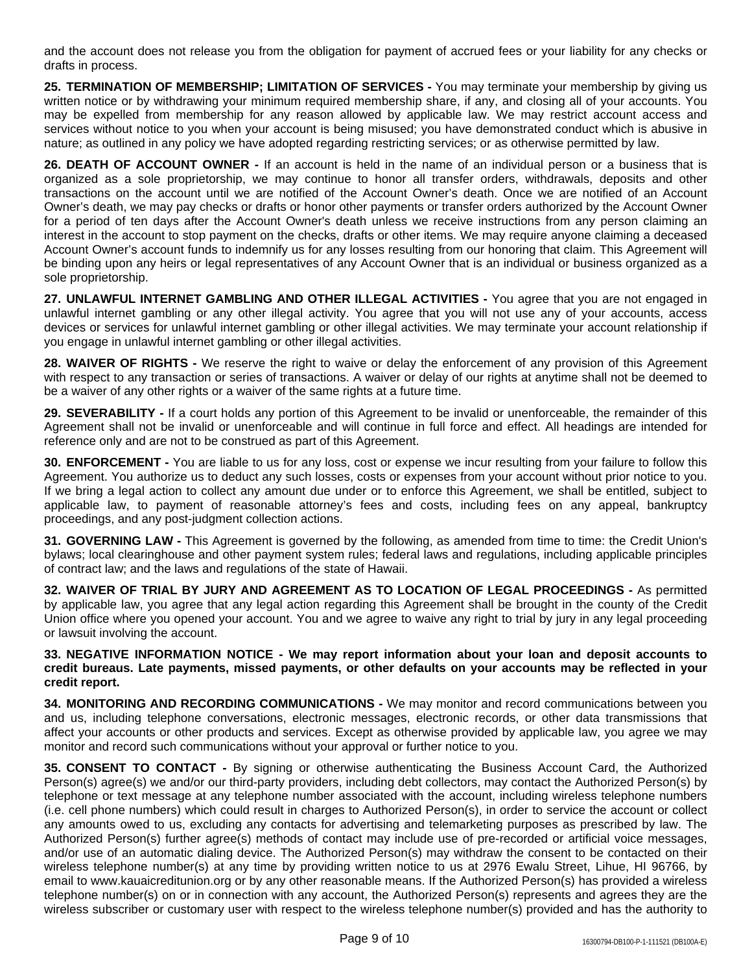and the account does not release you from the obligation for payment of accrued fees or your liability for any checks or drafts in process.

**25. TERMINATION OF MEMBERSHIP; LIMITATION OF SERVICES -** You may terminate your membership by giving us written notice or by withdrawing your minimum required membership share, if any, and closing all of your accounts. You may be expelled from membership for any reason allowed by applicable law. We may restrict account access and services without notice to you when your account is being misused; you have demonstrated conduct which is abusive in nature; as outlined in any policy we have adopted regarding restricting services; or as otherwise permitted by law.

**26. DEATH OF ACCOUNT OWNER -** If an account is held in the name of an individual person or a business that is organized as a sole proprietorship, we may continue to honor all transfer orders, withdrawals, deposits and other transactions on the account until we are notified of the Account Owner's death. Once we are notified of an Account Owner's death, we may pay checks or drafts or honor other payments or transfer orders authorized by the Account Owner for a period of ten days after the Account Owner's death unless we receive instructions from any person claiming an interest in the account to stop payment on the checks, drafts or other items. We may require anyone claiming a deceased Account Owner's account funds to indemnify us for any losses resulting from our honoring that claim. This Agreement will be binding upon any heirs or legal representatives of any Account Owner that is an individual or business organized as a sole proprietorship.

**27. UNLAWFUL INTERNET GAMBLING AND OTHER ILLEGAL ACTIVITIES -** You agree that you are not engaged in unlawful internet gambling or any other illegal activity. You agree that you will not use any of your accounts, access devices or services for unlawful internet gambling or other illegal activities. We may terminate your account relationship if you engage in unlawful internet gambling or other illegal activities.

**28. WAIVER OF RIGHTS -** We reserve the right to waive or delay the enforcement of any provision of this Agreement with respect to any transaction or series of transactions. A waiver or delay of our rights at anytime shall not be deemed to be a waiver of any other rights or a waiver of the same rights at a future time.

**29. SEVERABILITY -** If a court holds any portion of this Agreement to be invalid or unenforceable, the remainder of this Agreement shall not be invalid or unenforceable and will continue in full force and effect. All headings are intended for reference only and are not to be construed as part of this Agreement.

**30. ENFORCEMENT -** You are liable to us for any loss, cost or expense we incur resulting from your failure to follow this Agreement. You authorize us to deduct any such losses, costs or expenses from your account without prior notice to you. If we bring a legal action to collect any amount due under or to enforce this Agreement, we shall be entitled, subject to applicable law, to payment of reasonable attorney's fees and costs, including fees on any appeal, bankruptcy proceedings, and any post-judgment collection actions.

**31. GOVERNING LAW -** This Agreement is governed by the following, as amended from time to time: the Credit Union's bylaws; local clearinghouse and other payment system rules; federal laws and regulations, including applicable principles of contract law; and the laws and regulations of the state of Hawaii.

**32. WAIVER OF TRIAL BY JURY AND AGREEMENT AS TO LOCATION OF LEGAL PROCEEDINGS -** As permitted by applicable law, you agree that any legal action regarding this Agreement shall be brought in the county of the Credit Union office where you opened your account. You and we agree to waive any right to trial by jury in any legal proceeding or lawsuit involving the account.

**33. NEGATIVE INFORMATION NOTICE - We may report information about your loan and deposit accounts to** credit bureaus. Late payments, missed payments, or other defaults on your accounts may be reflected in your **credit report.**

**34. MONITORING AND RECORDING COMMUNICATIONS -** We may monitor and record communications between you and us, including telephone conversations, electronic messages, electronic records, or other data transmissions that affect your accounts or other products and services. Except as otherwise provided by applicable law, you agree we may monitor and record such communications without your approval or further notice to you.

**35. CONSENT TO CONTACT -** By signing or otherwise authenticating the Business Account Card, the Authorized Person(s) agree(s) we and/or our third-party providers, including debt collectors, may contact the Authorized Person(s) by telephone or text message at any telephone number associated with the account, including wireless telephone numbers (i.e. cell phone numbers) which could result in charges to Authorized Person(s), in order to service the account or collect any amounts owed to us, excluding any contacts for advertising and telemarketing purposes as prescribed by law. The Authorized Person(s) further agree(s) methods of contact may include use of pre-recorded or artificial voice messages, and/or use of an automatic dialing device. The Authorized Person(s) may withdraw the consent to be contacted on their wireless telephone number(s) at any time by providing written notice to us at 2976 Ewalu Street, Lihue, HI 96766, by email to www.kauaicreditunion.org or by any other reasonable means. If the Authorized Person(s) has provided a wireless telephone number(s) on or in connection with any account, the Authorized Person(s) represents and agrees they are the wireless subscriber or customary user with respect to the wireless telephone number(s) provided and has the authority to